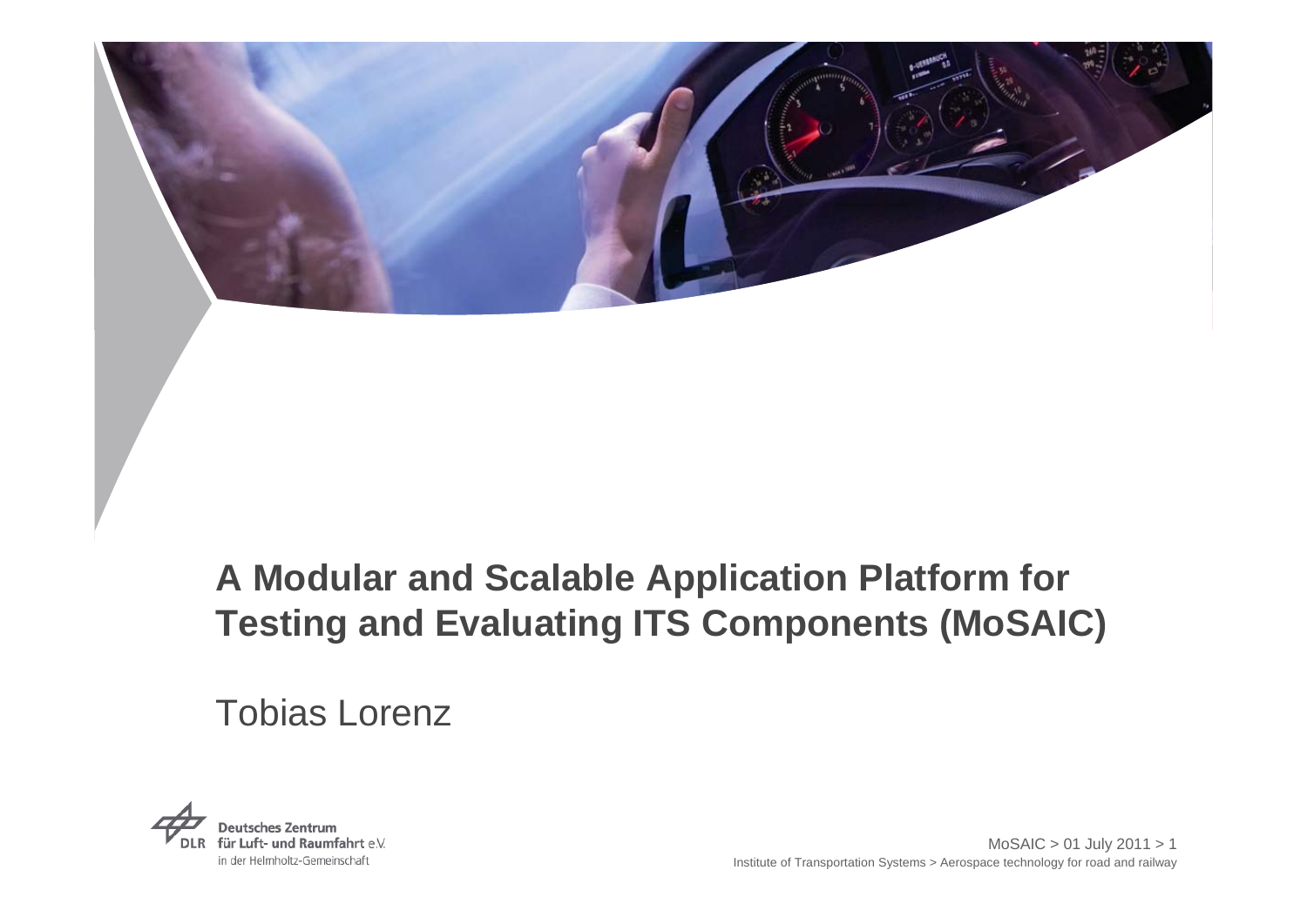

# **A Modular and Scalable Application Platform for Testing and Evaluating ITS Components (MoSAIC)**

# Tobias Lorenz

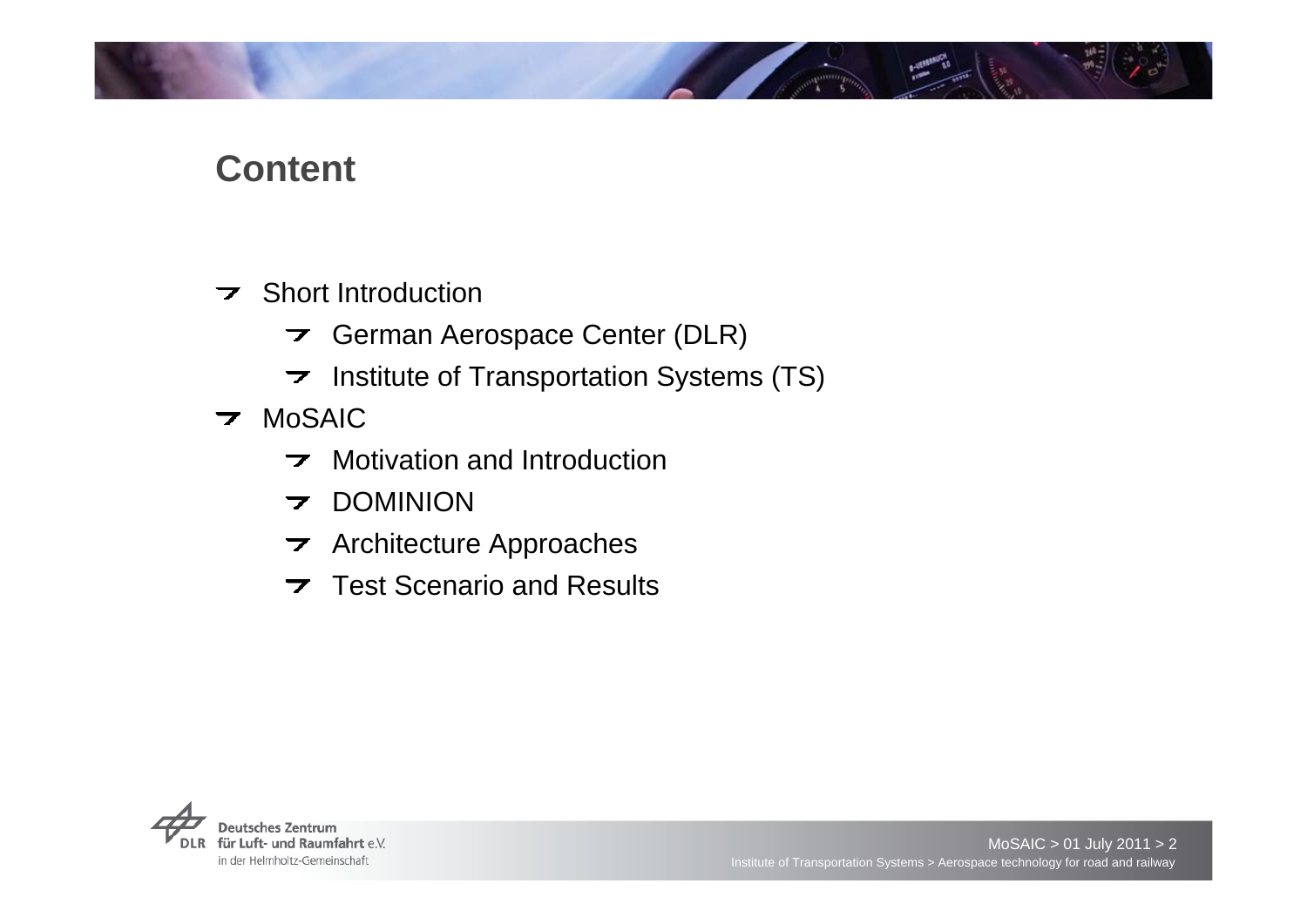# **Content**

- $\overline{\phantom{a}}$  Short Introduction
	- $\rightarrow$  German Aerospace Center (DLR)
	- $\triangleright$  Institute of Transportation Systems (TS)
- **7** MoSAIC
	- $\triangleright$  Motivation and Introduction
	- **7 DOMINION**
	- $\rightarrow$  Architecture Approaches
	- $\overline{\phantom{a}}$  Test Scenario and Results

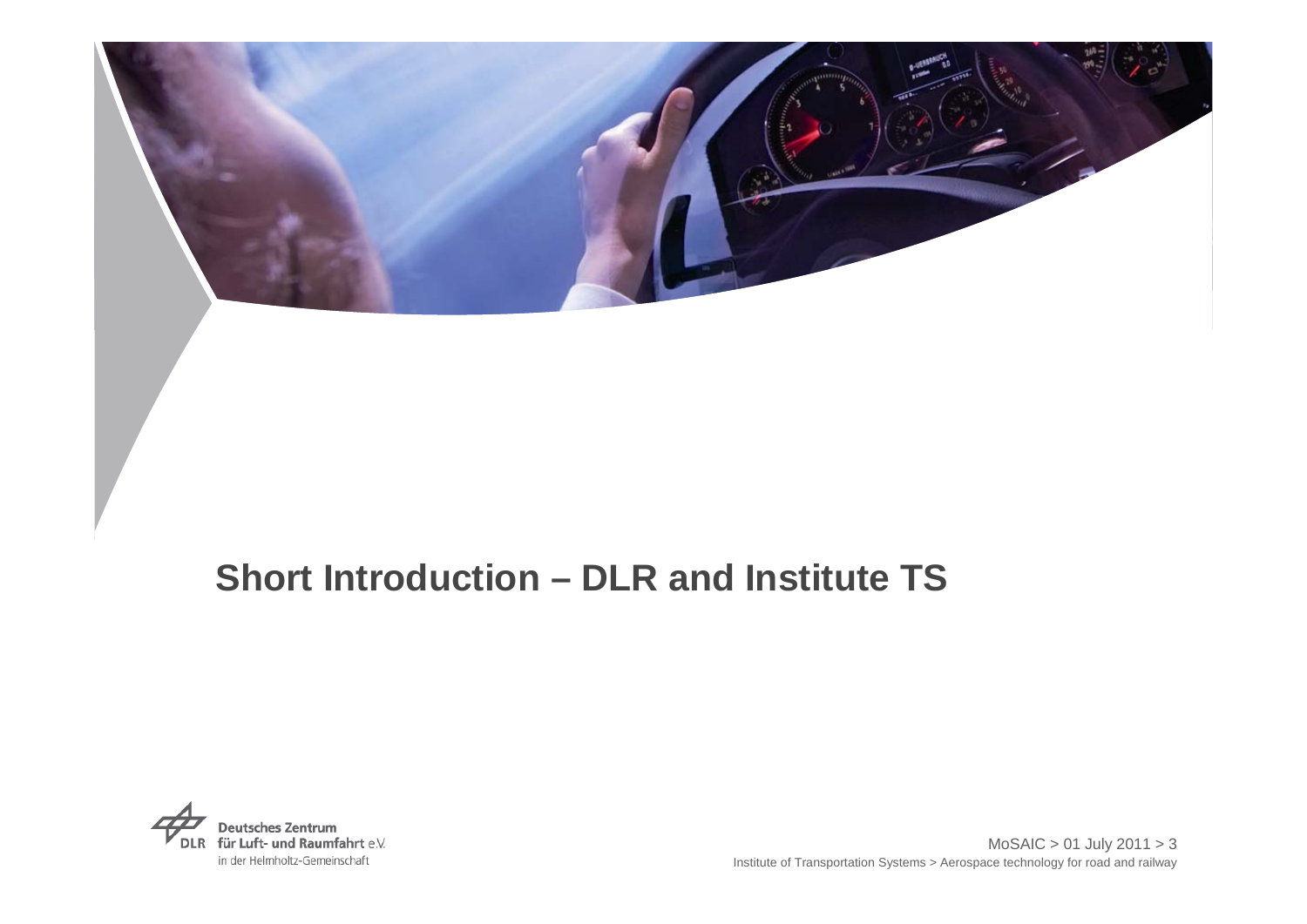

# **Short Introduction – DLR and Institute TS**

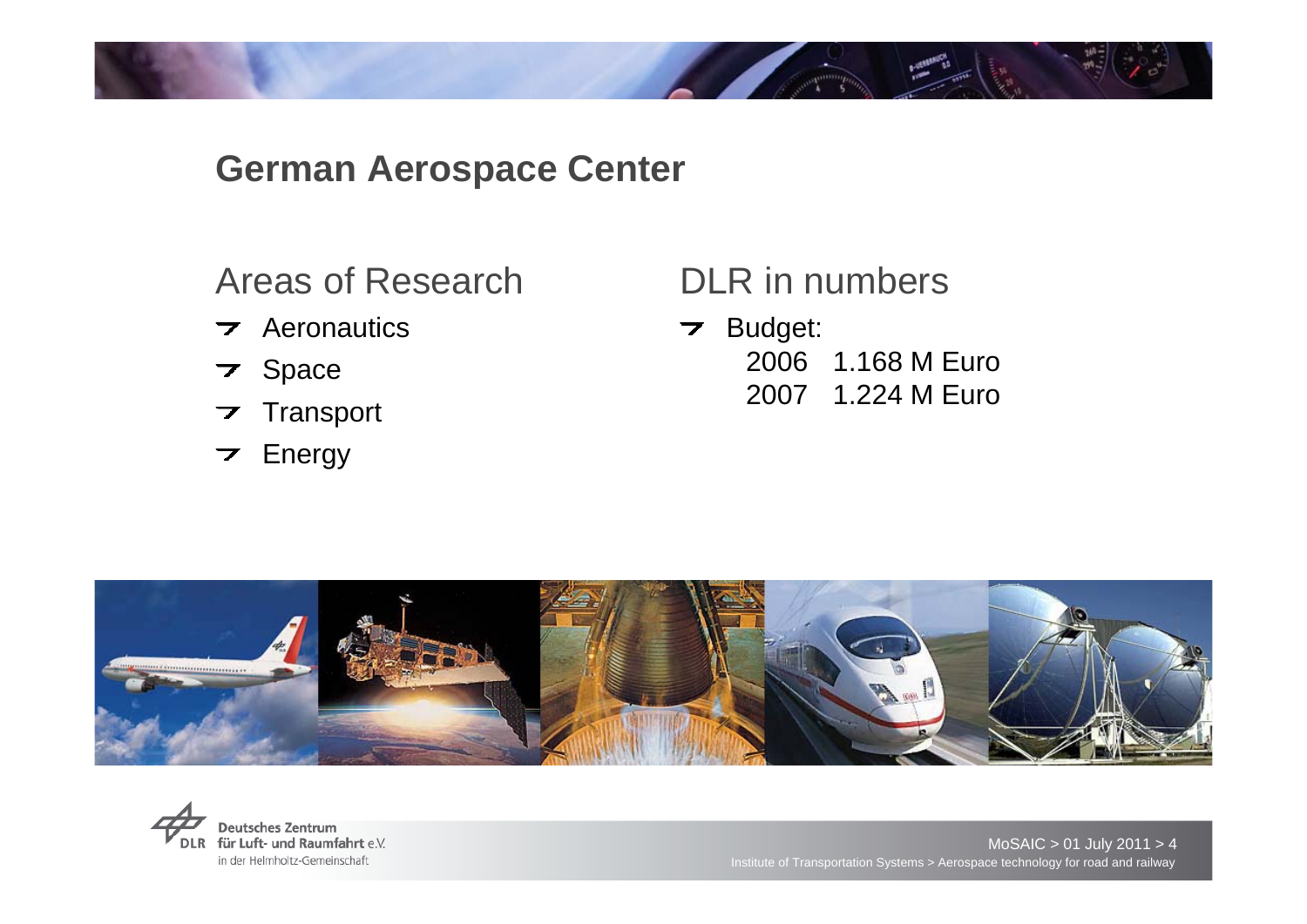## **German Aerospace Center**

Areas of Research

- $\overline{\phantom{a}}$  Aeronautics
- **7** Space
- **Transport**  $\overline{\phantom{a}}$
- Energy  $\overline{\phantom{a}}$

## DLR in numbers

Budget: 2006 1.168 M Euro 2007 1.224 M Euro



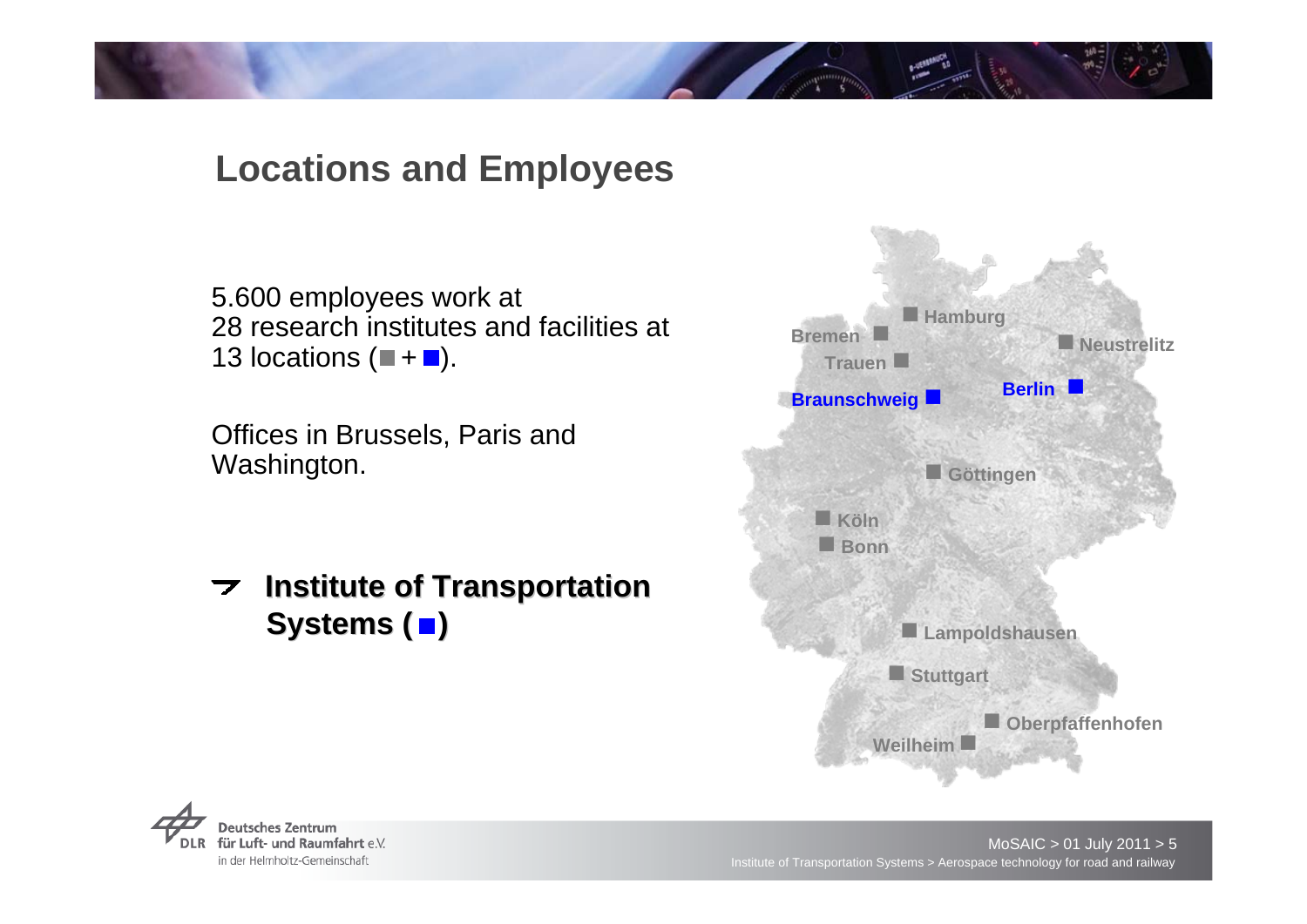# **Locations and Employees**

5.600 employees work at 28 research institutes and facilities at 13 locations  $($  +  $\blacksquare$ ).

Offices in Brussels, Paris and Washington.

**Institute of Transportation**  $\overline{\mathbf{z}}$ **Systems (** $\blacksquare$ **)** 



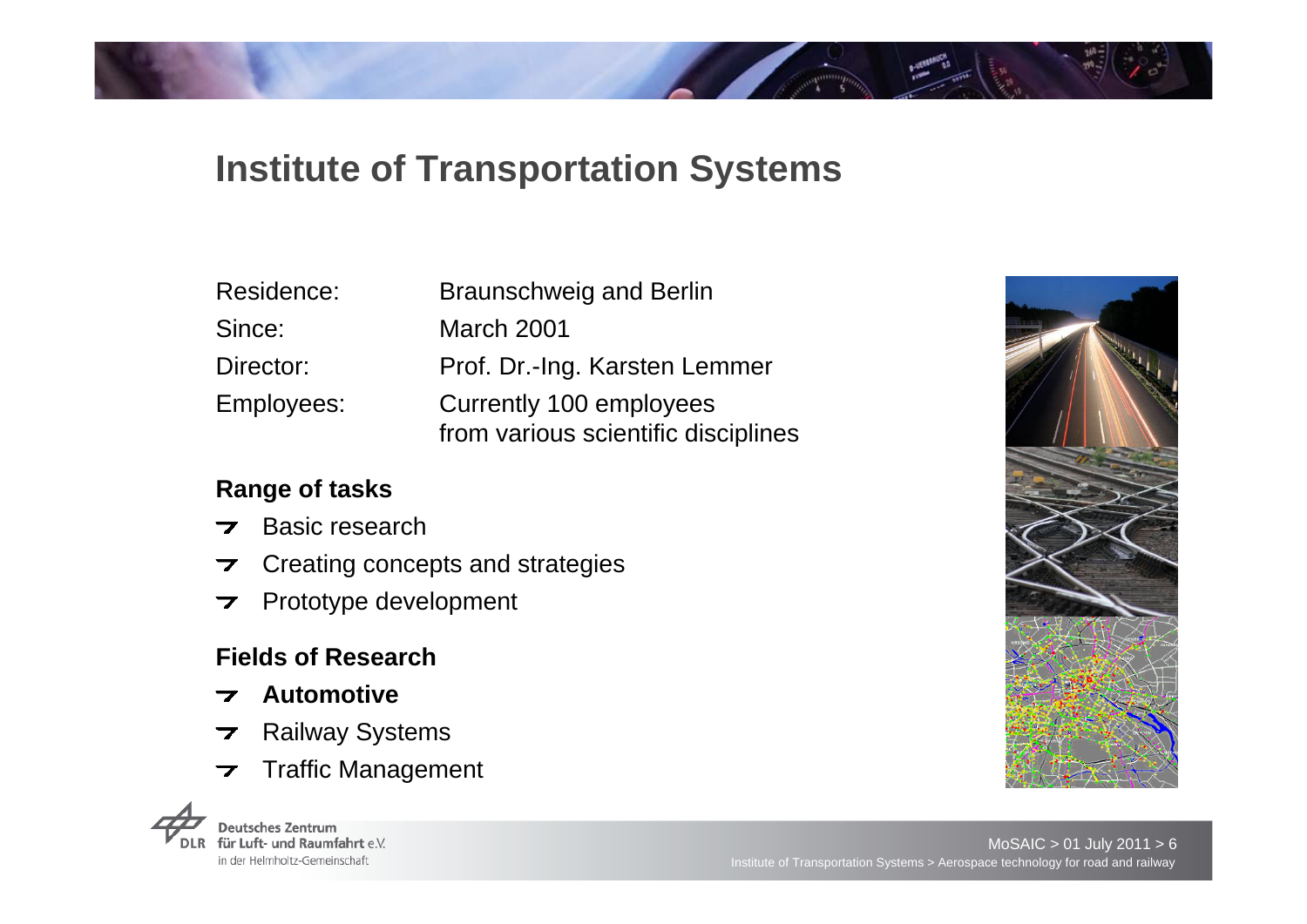# **Institute of Transportation Systems**

| Residence: | <b>Braunschweig and Berlin</b>                                 |
|------------|----------------------------------------------------------------|
| Since:     | <b>March 2001</b>                                              |
| Director:  | Prof. Dr.-Ing. Karsten Lemmer                                  |
| Employees: | Currently 100 employees<br>from various scientific disciplines |

#### **Range of tasks**

- Basic research $\overline{\phantom{a}}$
- Creating concepts and strategies  $\overline{\phantom{a}}$
- Prototype development  $\overline{\phantom{a}}$

#### **Fields of Research**

- **Automotive**
- Railway Systems  $\overline{\phantom{a}}$
- Traffic Management $\overline{\phantom{a}}$



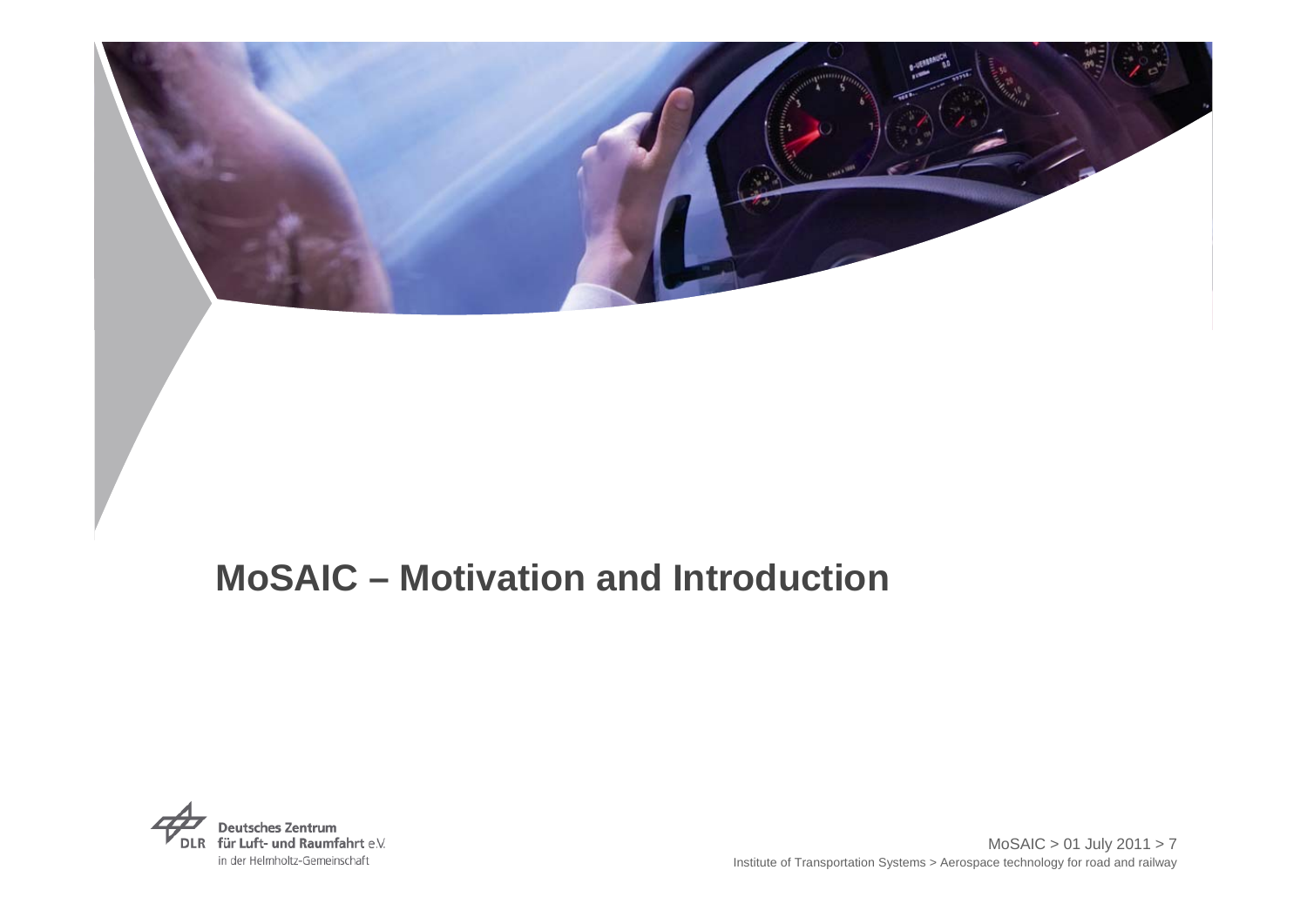

# **MoSAIC – Motivation and Introduction**

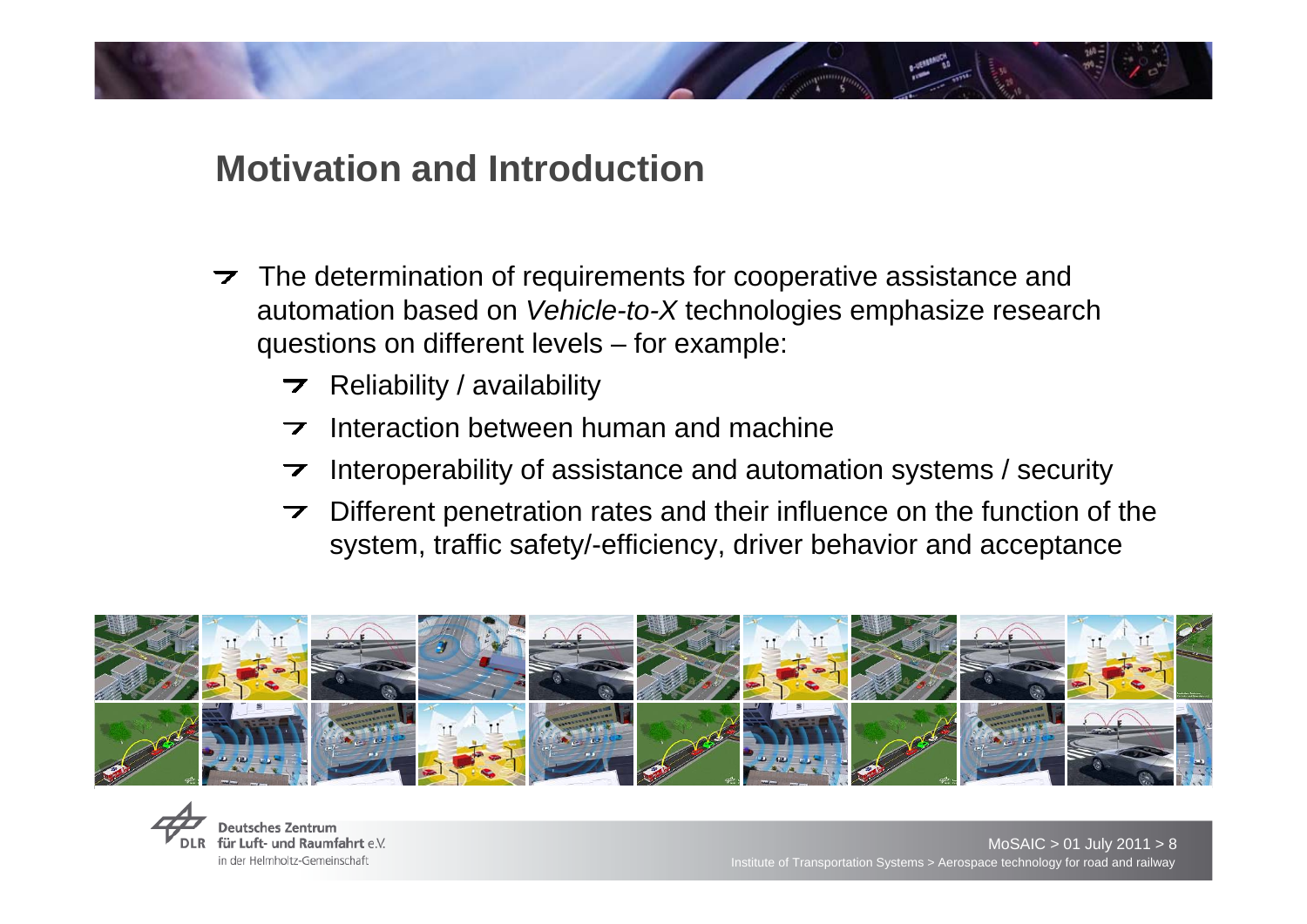- $\triangleright$  The determination of requirements for cooperative assistance and automation based on *Vehicle-to-X* technologies emphasize research questions on different levels – for example:
	- $\triangleright$  Reliability / availability
	- $\overline{\phantom{1}}$  Interaction between human and machine
	- Interoperability of assistance and automation systems / security
	- Different penetration rates and their influence on the function of the system, traffic safety/-efficiency, driver behavior and acceptance



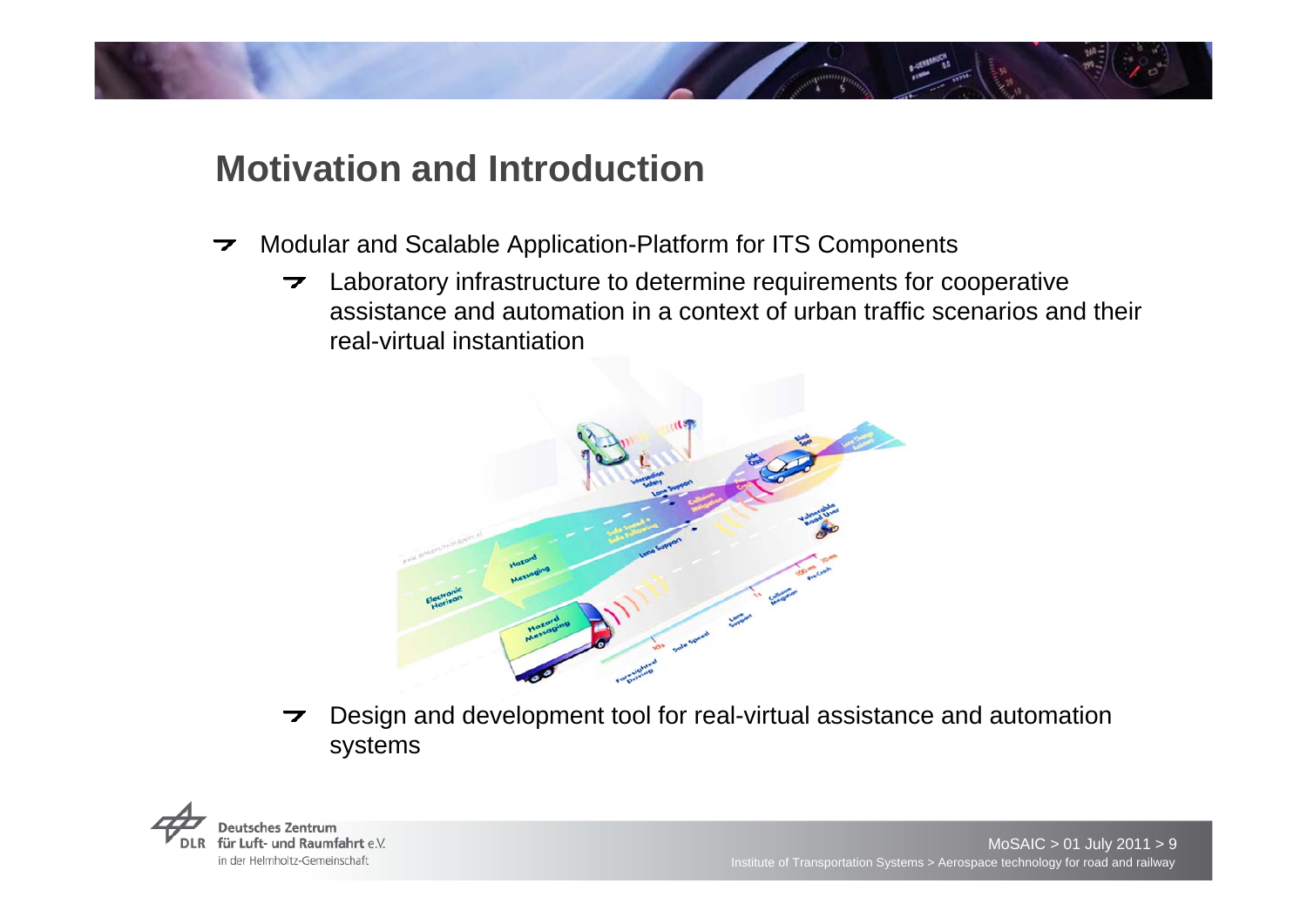- Modular and Scalable Application-Platform for ITS Components  $\overline{\phantom{a}}$ 
	- $\rightarrow$  Laboratory infrastructure to determine requirements for cooperative assistance and automation in a context of urban traffic scenarios and their real-virtual instantiation



Design and development tool for real-virtual assistance and automation  $\overline{\phantom{a}}$ systems

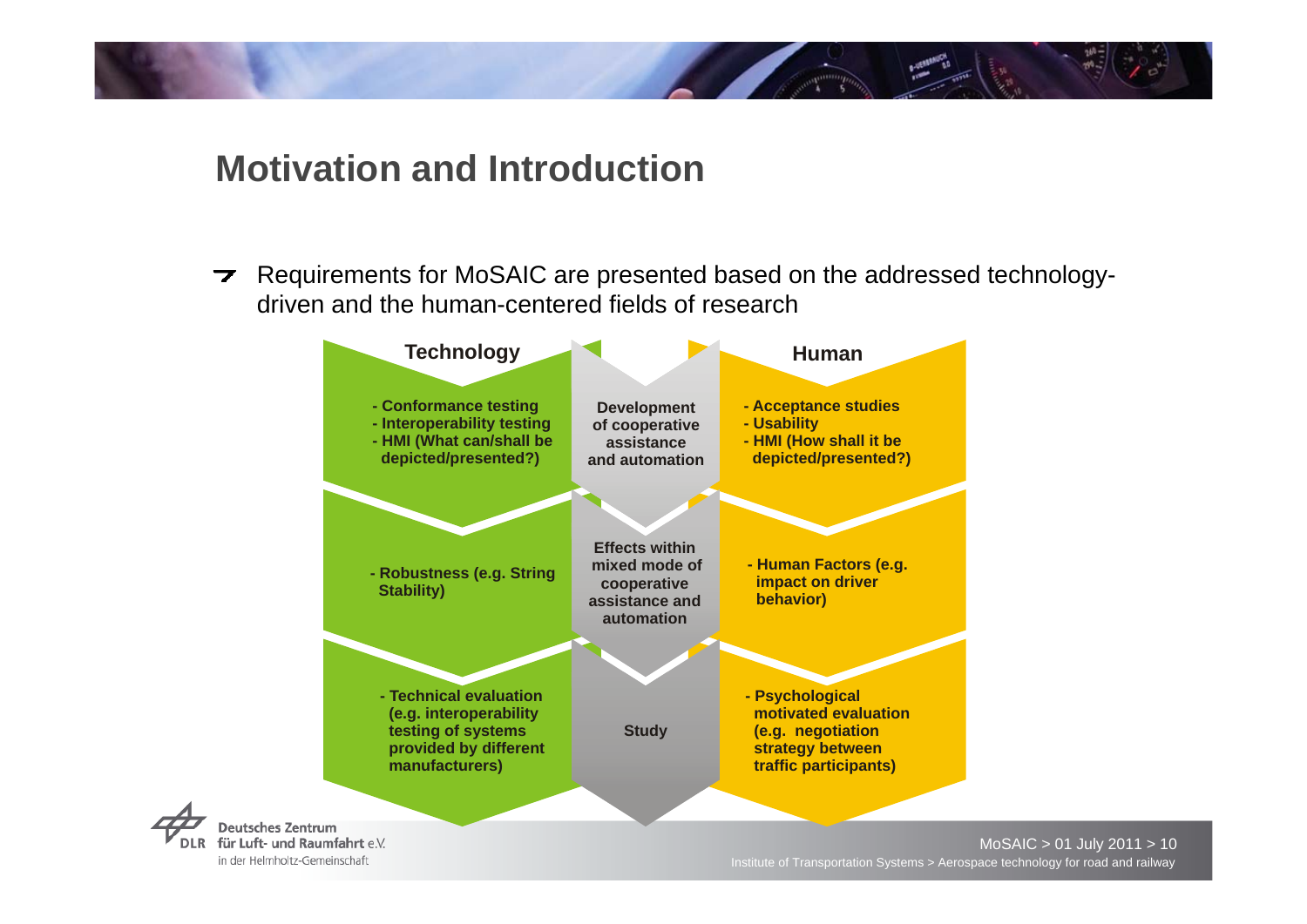Requirements for MoSAIC are presented based on the addressed technology- $\overline{\phantom{a}}$ driven and the human-centered fields of research



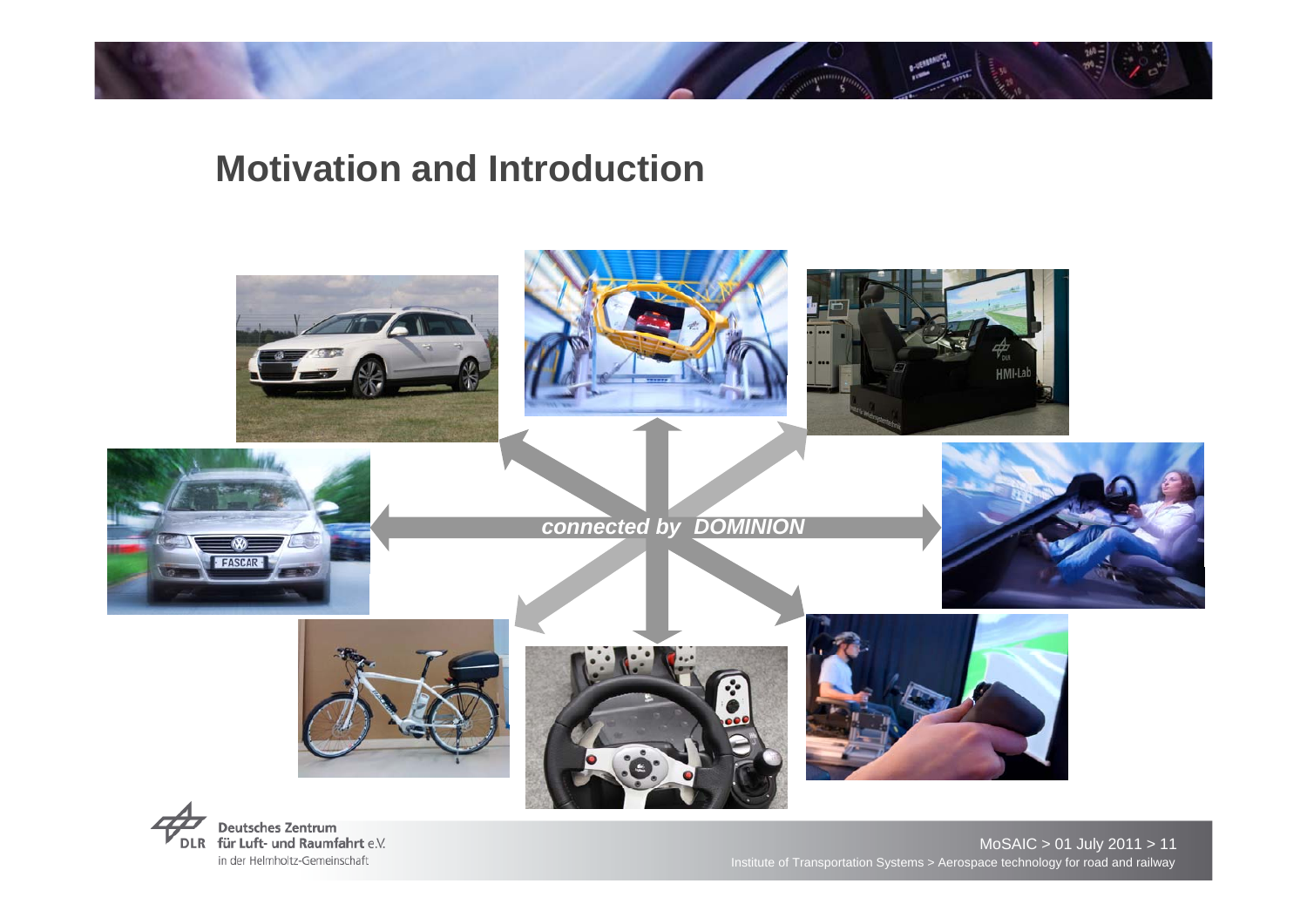







#### *connected by DOMINION*









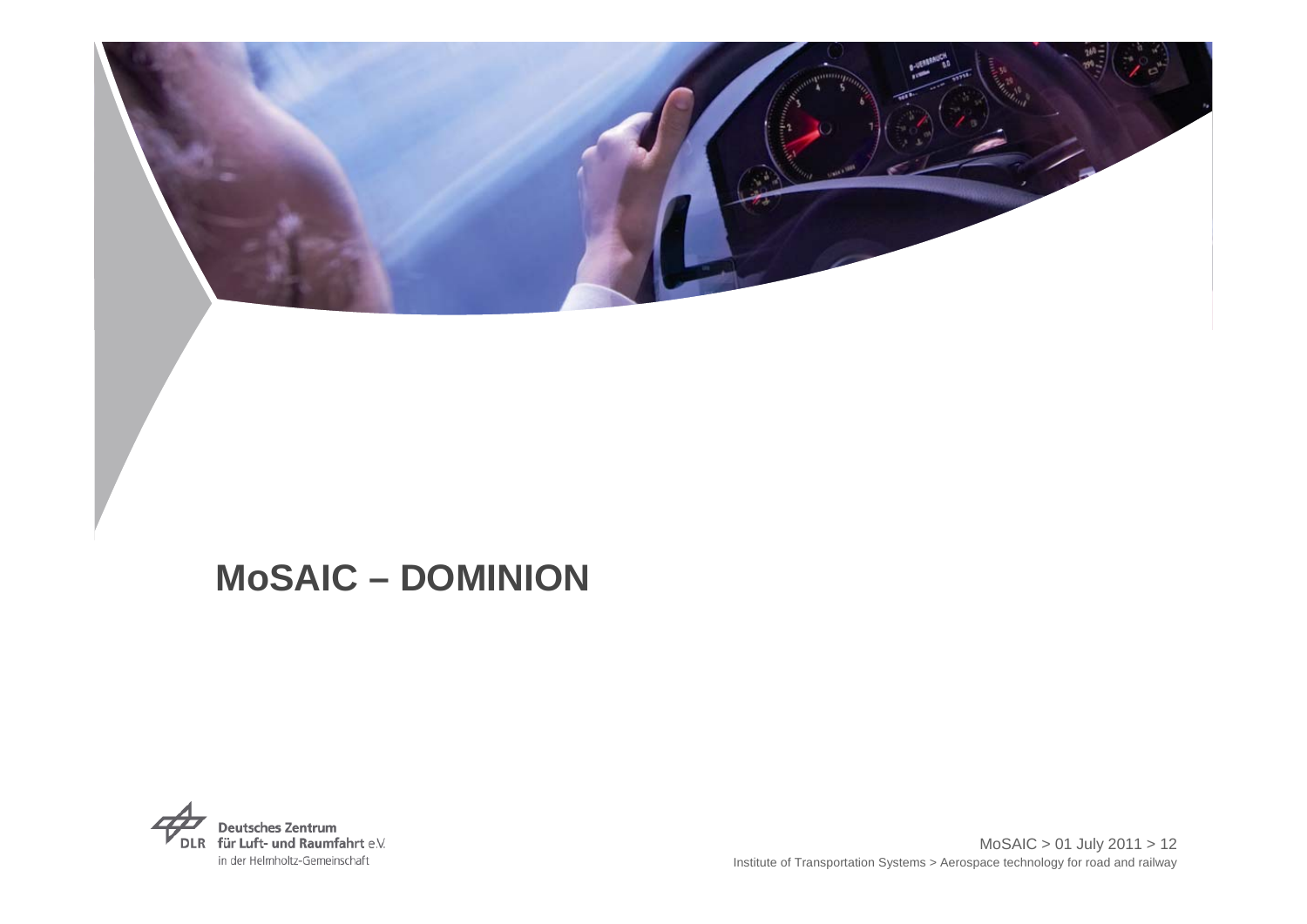

### **MoSAIC – DOMINION**

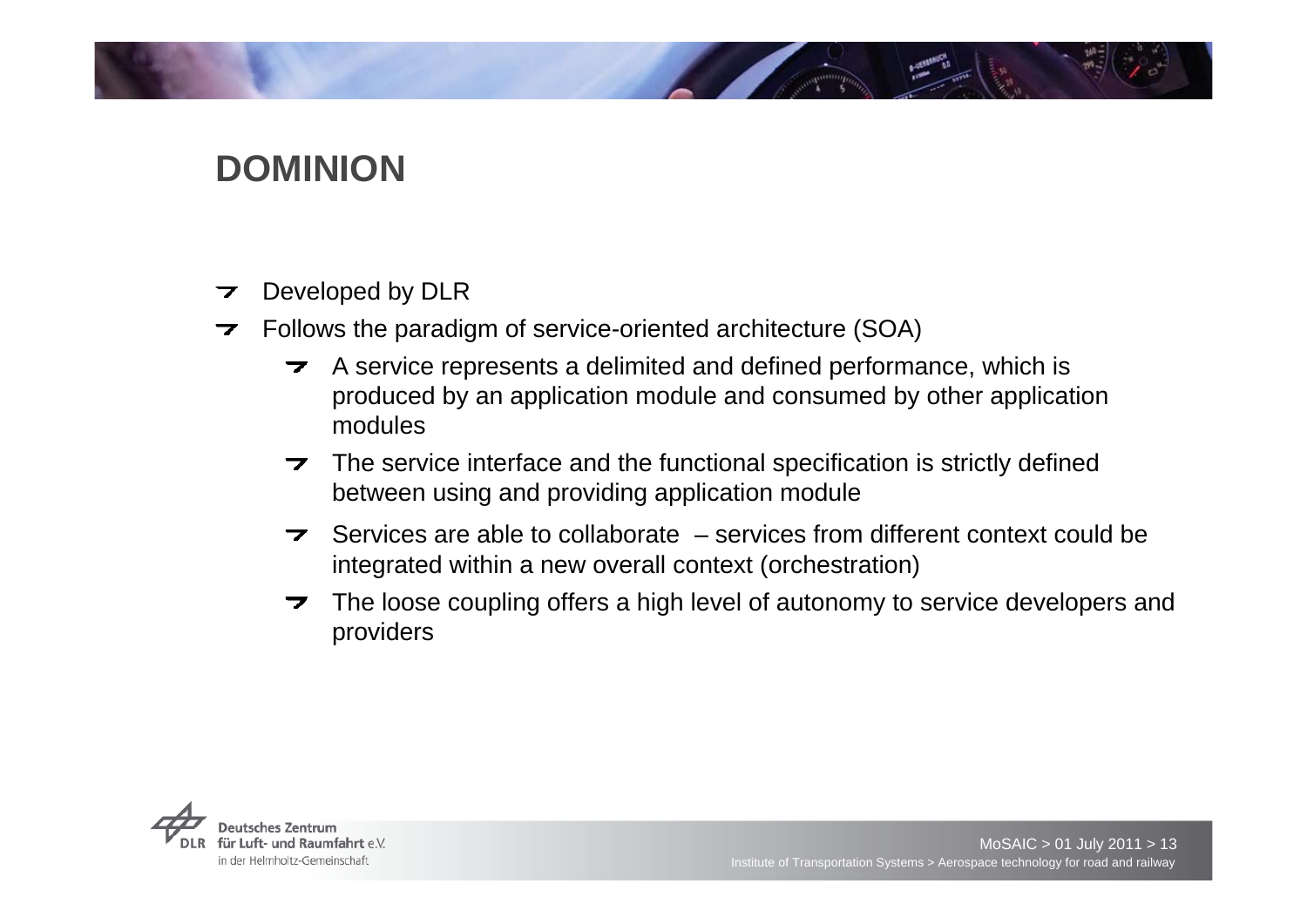# **DOMINION**

- Developed by DLR 7
- Follows the paradigm of service-oriented architecture (SOA)  $\overline{\phantom{a}}$ 
	- A service represents a delimited and defined performance, which is  $\overline{\phantom{a}}$ produced by an application module and consumed by other application modules
	- $\rightarrow$  The service interface and the functional specification is strictly defined between using and providing application module
	- Services are able to collaborate services from different context could be  $\overline{\phantom{a}}$ integrated within a new overall context (orchestration)
	- The loose coupling offers a high level of autonomy to service developers and  $\overline{\phantom{a}}$ providers

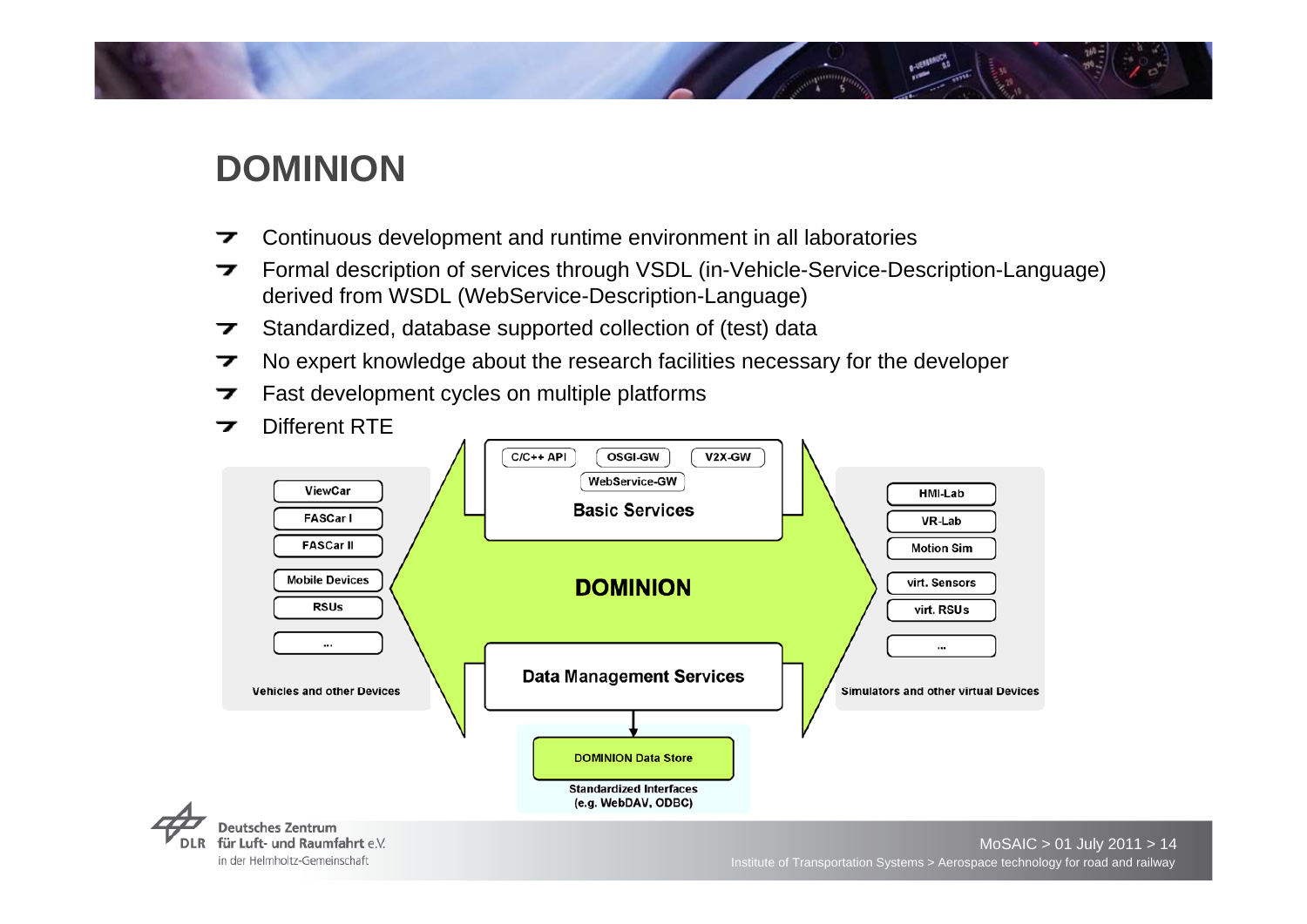# **DOMINION**

- Continuous development and runtime environment in all laboratories 7
- Formal description of services through VSDL (in-Vehicle-Service-Description-Language) 7 derived from WSDL (WebService-Description-Language)
- Standardized, database supported collection of (test) data ⇁
- No expert knowledge about the research facilities necessary for the developer ⇁
- Fast development cycles on multiple platforms 7
- Different RTE7  $C/C++$  API **OSGI-GW** V2X-GW WebService-GW ViewCar **HMI-Lab Basic Services FASCar I** VR-Lab **FASCar II Motion Sim Mobile Devices DOMINION** virt. Sensors **RSUs** virt. RSUs ... **Data Management Services Vehicles and other Devices Simulators and other virtual Devices DOMINION Data Store Standardized Interfaces** (e.g. WebDAV, ODBC)

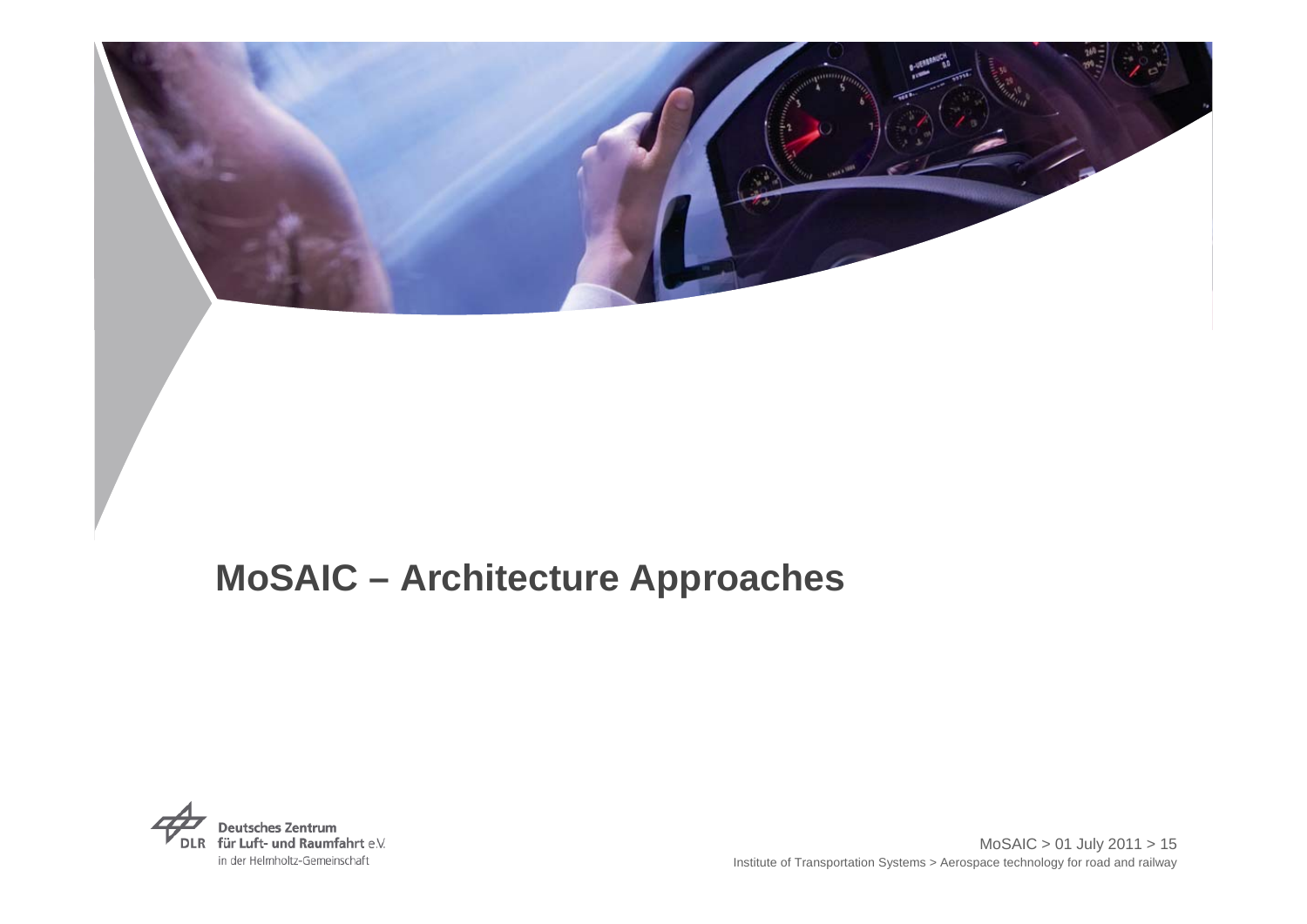

# **MoSAIC – Architecture Approaches**

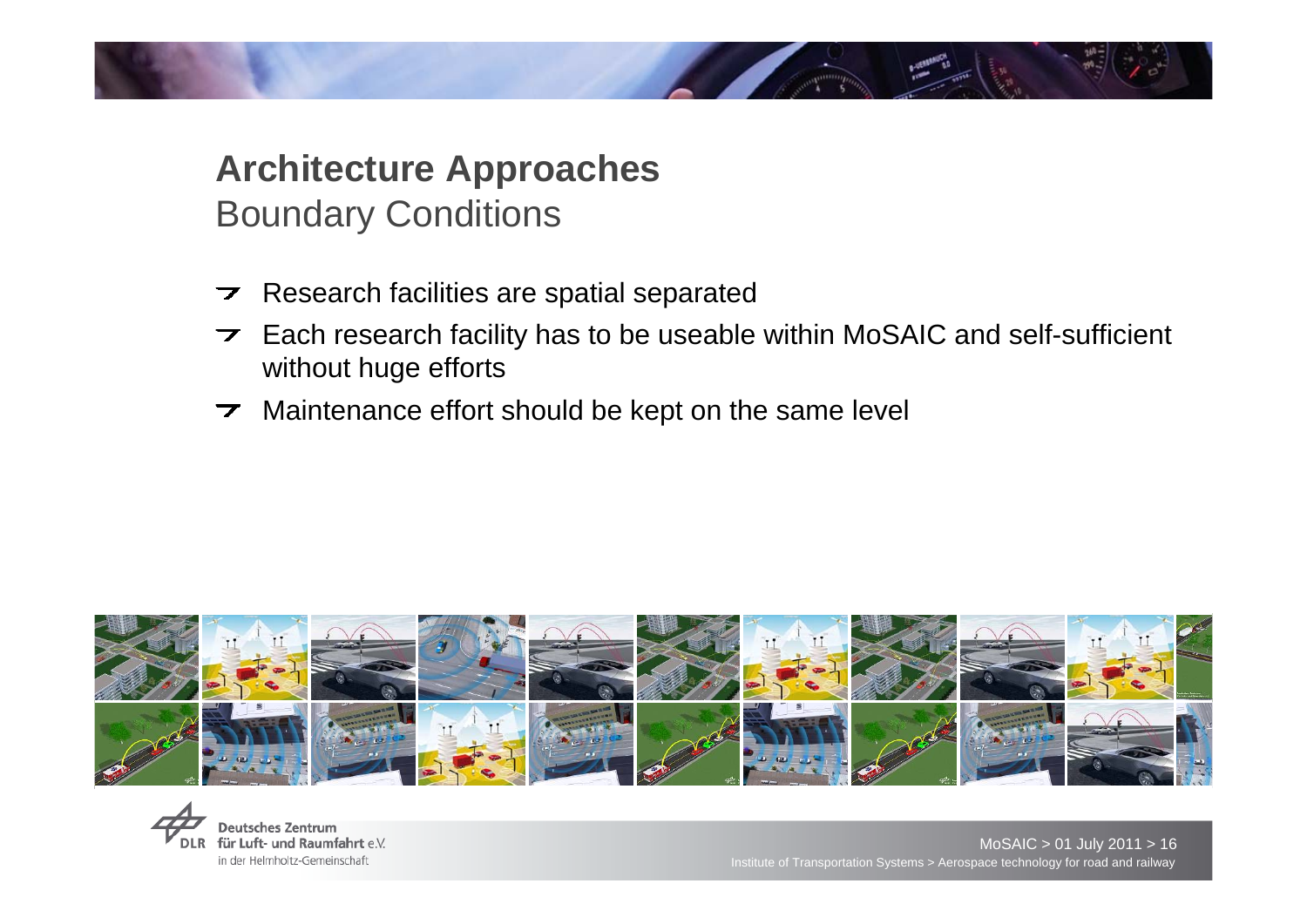# **Architecture Approaches**  Boundary Conditions

- Research facilities are spatial separated  $\overline{\phantom{a}}$
- $\triangleright$  Each research facility has to be useable within MoSAIC and self-sufficient without huge efforts
- Maintenance effort should be kept on the same level $\overline{\phantom{a}}$



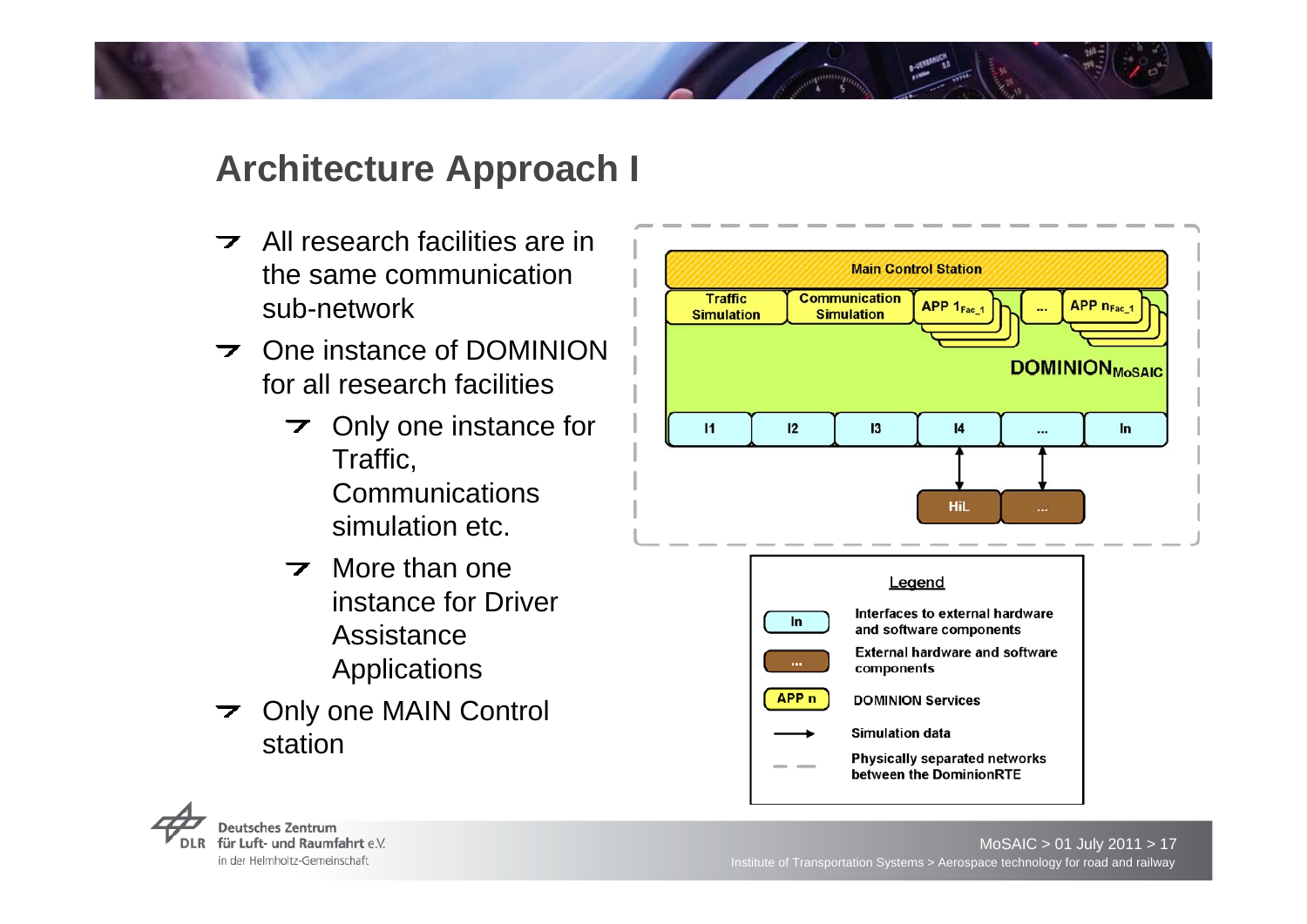# **Architecture Approach I**

- $\overline{\phantom{a}}$  All research facilities are in the same communication sub-network
- $\triangleright$  One instance of DOMINION for all research facilities
	- $\triangleright$  Only one instance for Traffic, **Communications** simulation etc.
	- $\triangleright$  More than one instance for Driver Assistance Applications
- Only one MAIN Control  $\overline{\phantom{a}}$ station



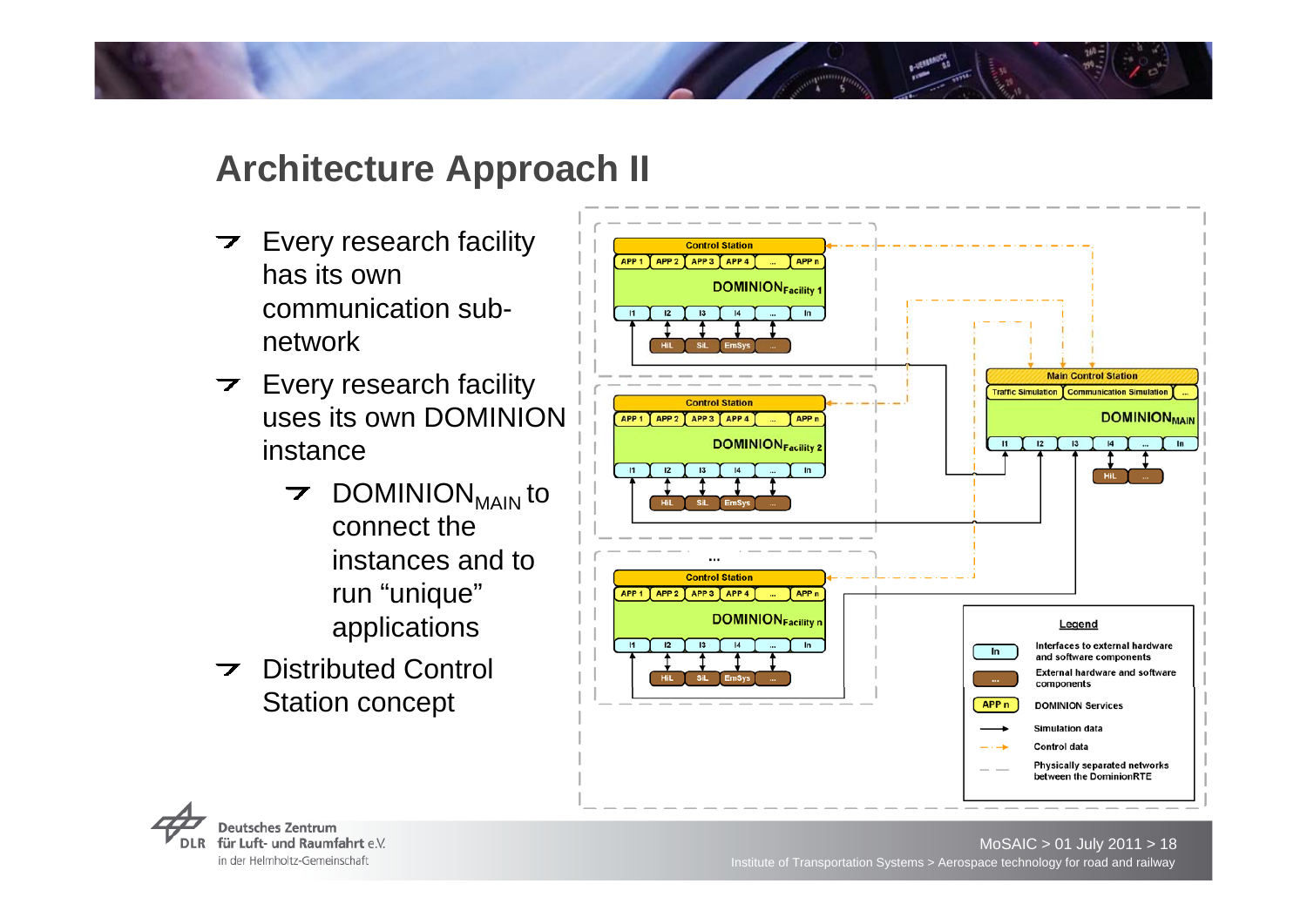# **Architecture Approach II**

- $\triangleright$  Every research facility has its own communication subnetwork
- $\triangleright$  Every research facility uses its own DOMINION instance
	- $\triangleright$  DOMINION<sub>MAIN</sub> to connect the instances and to run "unique" applications
- **Distributed Control** Station concept



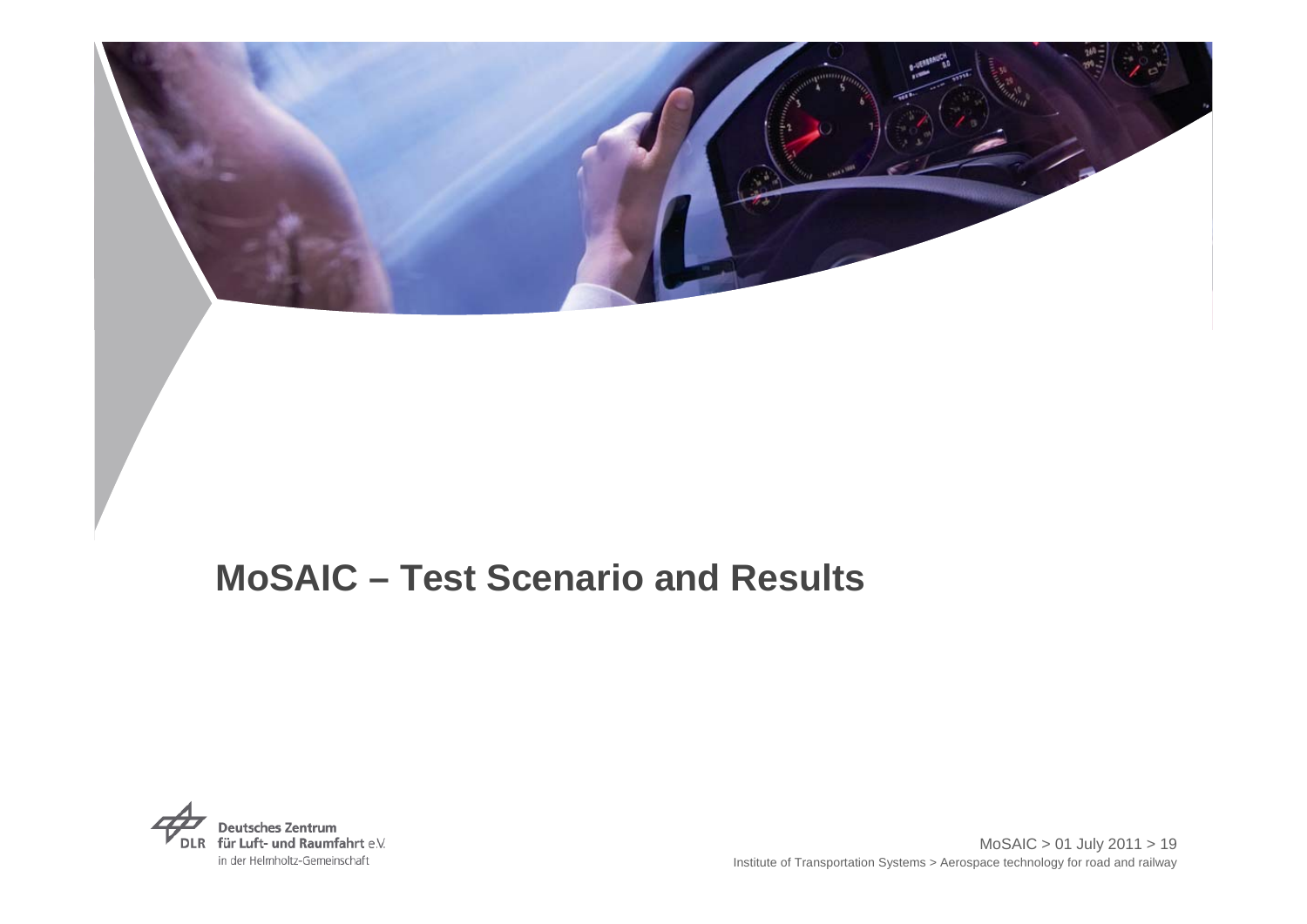

# **MoSAIC – Test Scenario and Results**

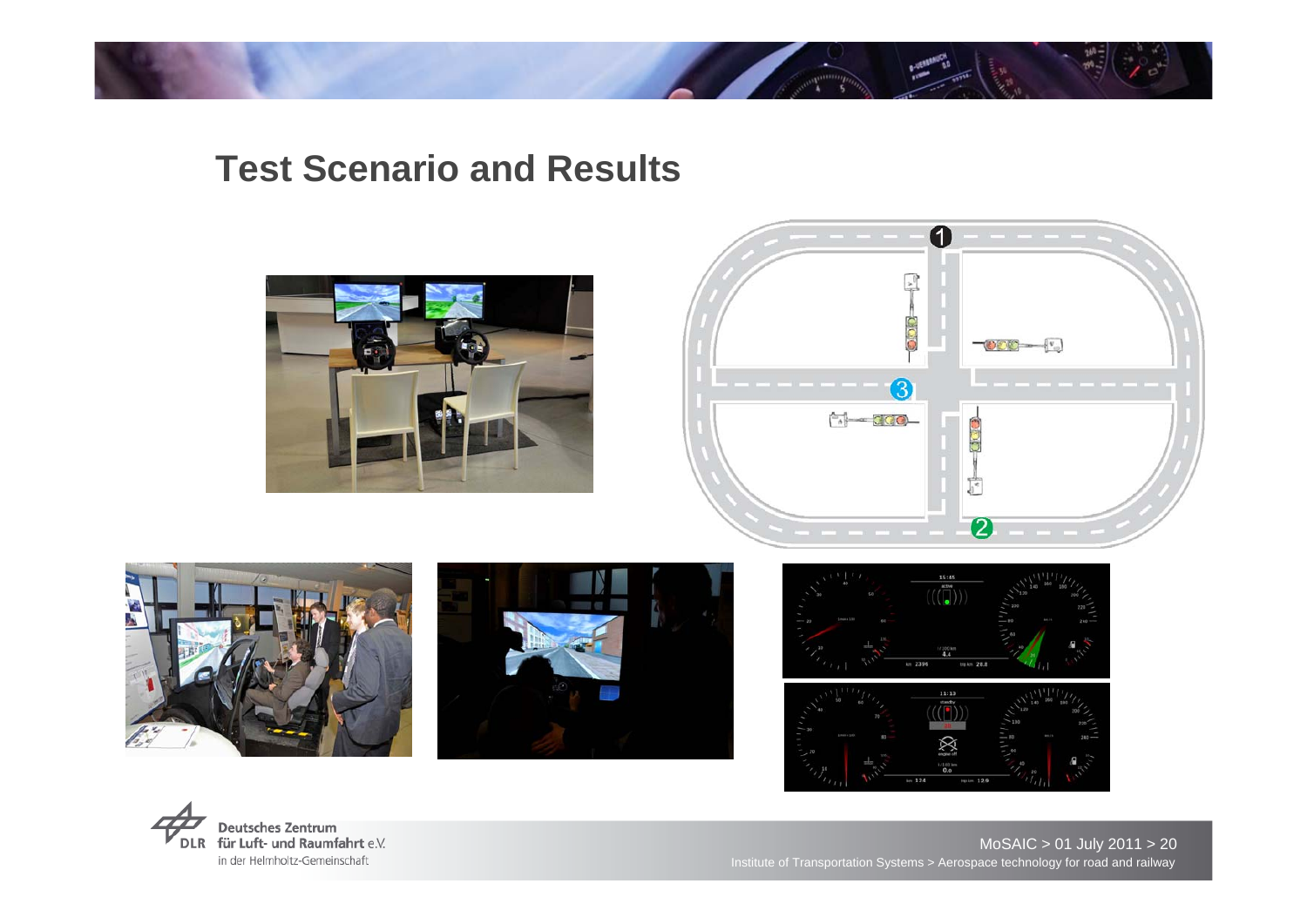# **Test Scenario and Results**













Institute of Transportation Systems > Aerospace technology for road and railway MoSAIC > 01 July 2011 > 20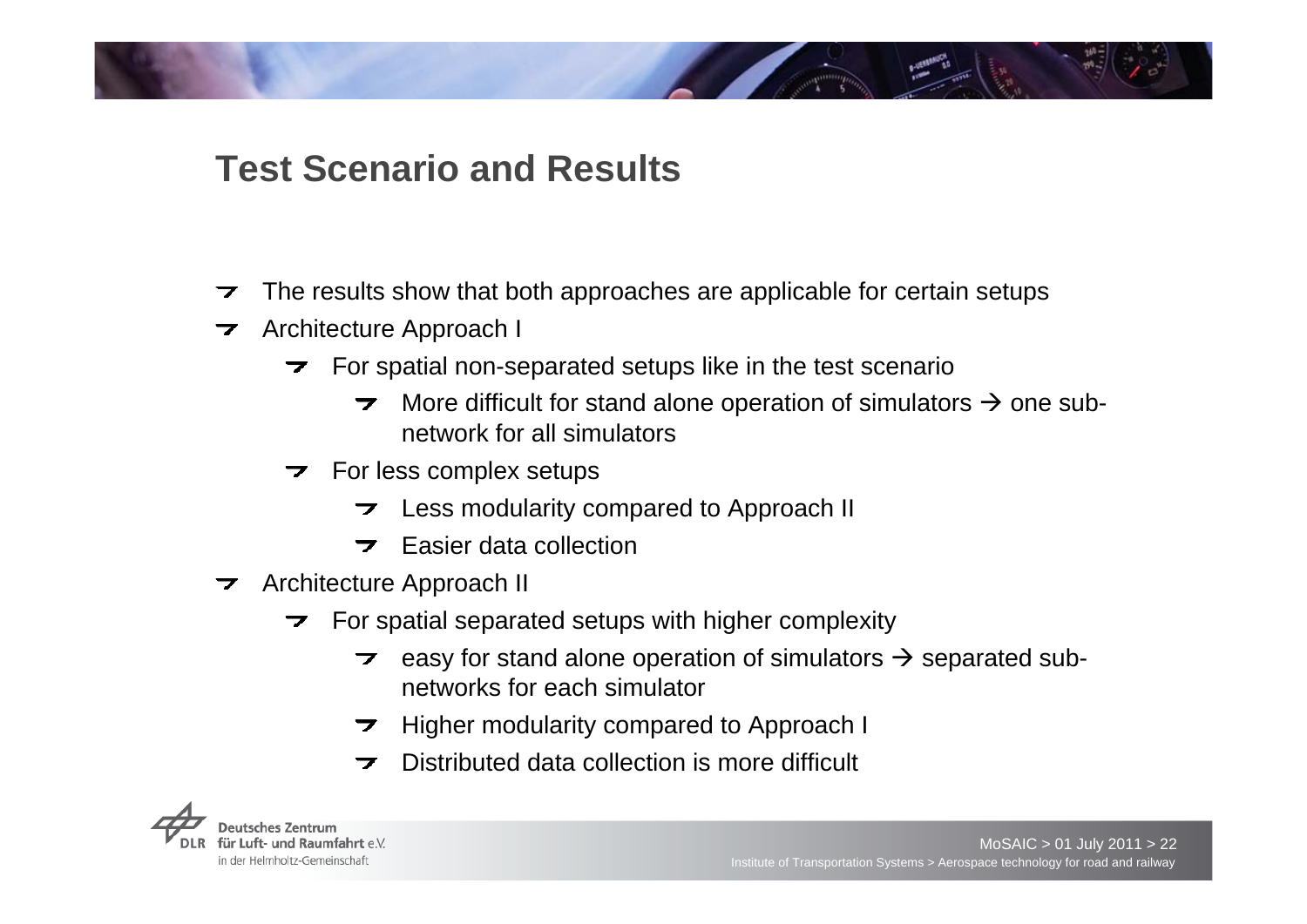# **Test Scenario and Results**

- The results show that both approaches are applicable for certain setups  $\overline{\mathbf{z}}$
- Architecture Approach I  $\overline{\phantom{a}}$ 
	- $\triangleright$  For spatial non-separated setups like in the test scenario
		- $\overline{z}$ More difficult for stand alone operation of simulators  $\bm{\rightarrow}$  one subnetwork for all simulators
	- $\triangleright$  For less complex setups
		- Less modularity compared to Approach II  $\overline{\phantom{a}}$
		- Easier data collection $\overline{ }$
- **EXECUTE** Architecture Approach II
	- $\triangleright$  For spatial separated setups with higher complexity
		- easy for stand alone operation of simulators  $\rightarrow$  separated sub- $\overline{\phantom{a}}$ networks for each simulator
		- Higher modularity compared to Approach I  $\overline{\phantom{a}}$
		- Distributed data collection is more difficult $\overline{\phantom{a}}$

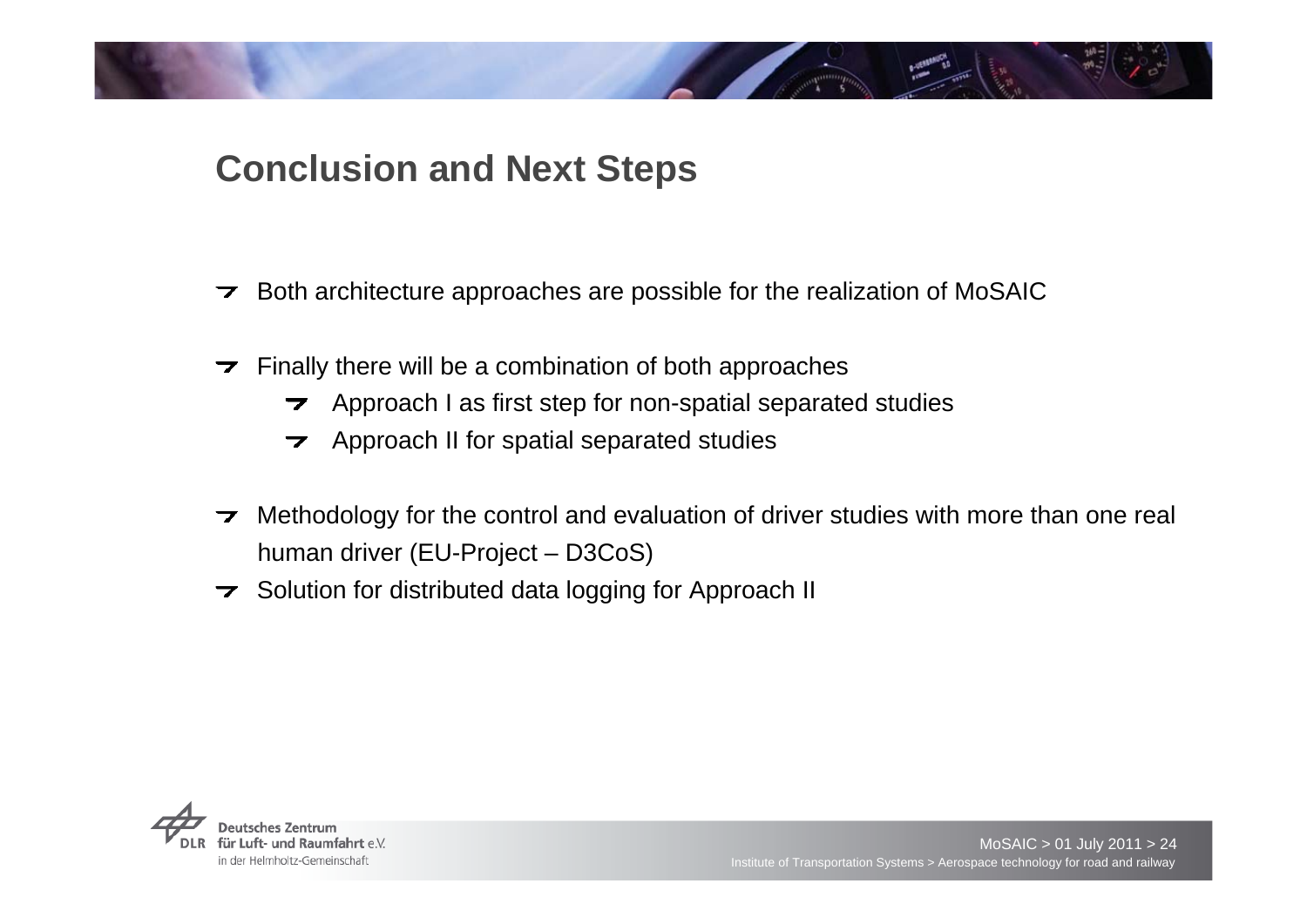# **Conclusion and Next Steps**

- Both architecture approaches are possible for the realization of MoSAIC  $\overline{\phantom{a}}$
- Finally there will be a combination of both approaches  $\overline{\phantom{a}}$ 
	- $\rightarrow$  Approach I as first step for non-spatial separated studies
	- Approach II for spatial separated studies  $\overline{\phantom{a}}$
- Methodology for the control and evaluation of driver studies with more than one real  $\overline{\phantom{a}}$ human driver (EU-Project – D3CoS)
- $\rightarrow$  Solution for distributed data logging for Approach II